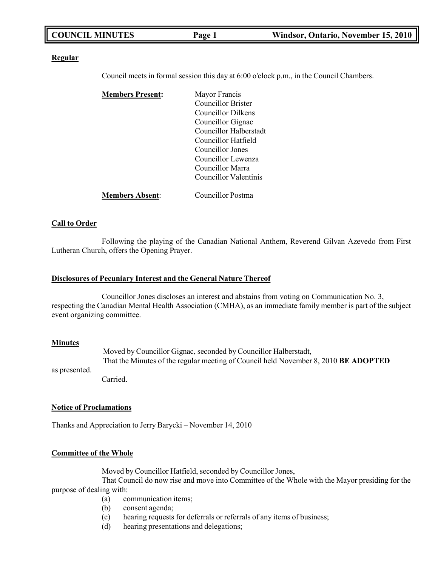| <b>COUNCIL MINUTES</b> | Page 1 | Windsor, Ontario, November 15, 2010 |
|------------------------|--------|-------------------------------------|
|                        |        |                                     |

#### **Regular**

Council meets in formal session this day at 6:00 o'clock p.m., in the Council Chambers.

| <b>Members Present:</b> | Mayor Francis             |
|-------------------------|---------------------------|
|                         | <b>Councillor Brister</b> |
|                         | Councillor Dilkens        |
|                         | Councillor Gignac         |
|                         | Councillor Halberstadt    |
|                         | Councillor Hatfield       |
|                         | Councillor Jones          |
|                         | Councillor Lewenza        |
|                         | Councillor Marra          |
|                         | Councillor Valentinis     |
| <b>Members Absent:</b>  | Councillor Postma         |

### **Call to Order**

Following the playing of the Canadian National Anthem, Reverend Gilvan Azevedo from First Lutheran Church, offers the Opening Prayer.

#### **Disclosures of Pecuniary Interest and the General Nature Thereof**

Councillor Jones discloses an interest and abstains from voting on Communication No. 3, respecting the Canadian Mental Health Association (CMHA), as an immediate family member is part of the subject event organizing committee.

#### **Minutes**

as presented. Moved by Councillor Gignac, seconded by Councillor Halberstadt, That the Minutes of the regular meeting of Council held November 8, 2010 **BE ADOPTED**

Carried.

#### **Notice of Proclamations**

Thanks and Appreciation to Jerry Barycki – November 14, 2010

## **Committee of the Whole**

Moved by Councillor Hatfield, seconded by Councillor Jones,

That Council do now rise and move into Committee of the Whole with the Mayor presiding for the purpose of dealing with:

- (a) communication items;
- (b) consent agenda;
- (c) hearing requests for deferrals or referrals of any items of business;
- (d) hearing presentations and delegations;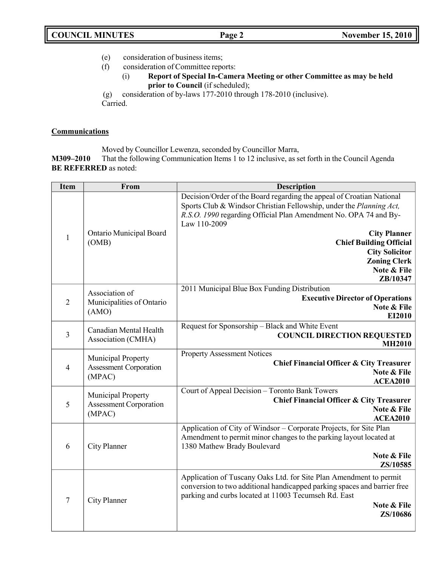- (e) consideration of business items;
- (f) consideration of Committee reports:
	- (i) **Report of Special In-Camera Meeting or other Committee as may be held prior to Council** (if scheduled);
- (g) consideration of by-laws 177-2010 through 178-2010 (inclusive).

Carried.

## **Communications**

Moved by Councillor Lewenza, seconded by Councillor Marra,

**M309–2010** That the following Communication Items 1 to 12 inclusive, as set forth in the Council Agenda **BE REFERRED** as noted:

| <b>Item</b>    | From                                                          | <b>Description</b>                                                                                                                                                                                                                                                                        |
|----------------|---------------------------------------------------------------|-------------------------------------------------------------------------------------------------------------------------------------------------------------------------------------------------------------------------------------------------------------------------------------------|
| $\mathbf{1}$   | Ontario Municipal Board<br>(OMB)                              | Decision/Order of the Board regarding the appeal of Croatian National<br>Sports Club & Windsor Christian Fellowship, under the Planning Act,<br>R.S.O. 1990 regarding Official Plan Amendment No. OPA 74 and By-<br>Law 110-2009<br><b>City Planner</b><br><b>Chief Building Official</b> |
|                |                                                               | <b>City Solicitor</b><br><b>Zoning Clerk</b><br>Note & File<br>ZB/10347                                                                                                                                                                                                                   |
| $\overline{2}$ | Association of<br>Municipalities of Ontario<br>(AMO)          | 2011 Municipal Blue Box Funding Distribution<br><b>Executive Director of Operations</b><br>Note & File<br>EI2010                                                                                                                                                                          |
| $\overline{3}$ | Canadian Mental Health<br>Association (CMHA)                  | Request for Sponsorship - Black and White Event<br><b>COUNCIL DIRECTION REQUESTED</b><br><b>MH2010</b>                                                                                                                                                                                    |
| $\overline{4}$ | Municipal Property<br>Assessment Corporation<br>(MPAC)        | <b>Property Assessment Notices</b><br>Chief Financial Officer & City Treasurer<br>Note & File<br><b>ACEA2010</b>                                                                                                                                                                          |
| 5              | Municipal Property<br><b>Assessment Corporation</b><br>(MPAC) | Court of Appeal Decision - Toronto Bank Towers<br><b>Chief Financial Officer &amp; City Treasurer</b><br>Note & File<br><b>ACEA2010</b>                                                                                                                                                   |
| 6              | City Planner                                                  | Application of City of Windsor – Corporate Projects, for Site Plan<br>Amendment to permit minor changes to the parking layout located at<br>1380 Mathew Brady Boulevard<br>Note & File<br>ZS/10585                                                                                        |
| $\overline{7}$ | City Planner                                                  | Application of Tuscany Oaks Ltd. for Site Plan Amendment to permit<br>conversion to two additional handicapped parking spaces and barrier free<br>parking and curbs located at 11003 Tecumseh Rd. East<br>Note & File<br>ZS/10686                                                         |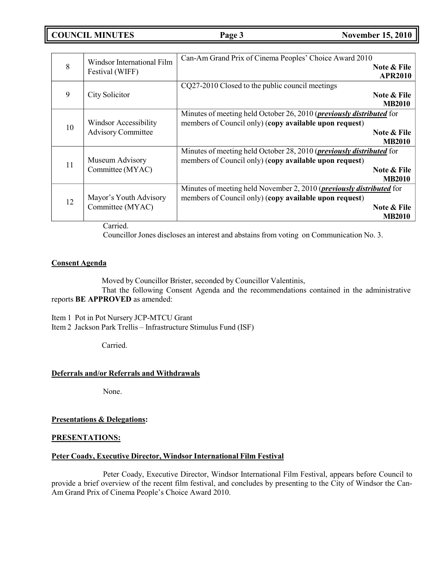**COUNCIL MINUTES Page 3 November 15, 2010**

| 8  | Windsor International Film<br>Festival (WIFF)             | Can-Am Grand Prix of Cinema Peoples' Choice Award 2010<br>Note & File<br><b>APR2010</b>                                                                                |
|----|-----------------------------------------------------------|------------------------------------------------------------------------------------------------------------------------------------------------------------------------|
| 9  | City Solicitor                                            | CQ27-2010 Closed to the public council meetings<br>Note & File<br><b>MB2010</b>                                                                                        |
| 10 | <b>Windsor Accessibility</b><br><b>Advisory Committee</b> | Minutes of meeting held October 26, 2010 ( <i>previously distributed</i> for<br>members of Council only) (copy available upon request)<br>Note & File<br><b>MB2010</b> |
| 11 | Museum Advisory<br>Committee (MYAC)                       | Minutes of meeting held October 28, 2010 ( <i>previously distributed</i> for<br>members of Council only) (copy available upon request)<br>Note & File<br><b>MB2010</b> |
| 12 | Mayor's Youth Advisory<br>Committee (MYAC)                | Minutes of meeting held November 2, 2010 ( <i>previously distributed</i> for<br>members of Council only) (copy available upon request)<br>Note & File<br><b>MB2010</b> |

Carried.

Councillor Jones discloses an interest and abstains from voting on Communication No. 3.

## **Consent Agenda**

Moved by Councillor Brister, seconded by Councillor Valentinis,

That the following Consent Agenda and the recommendations contained in the administrative reports **BE APPROVED** as amended:

Item 1 Pot in Pot Nursery JCP-MTCU Grant Item 2 Jackson Park Trellis – Infrastructure Stimulus Fund (ISF)

Carried.

## **Deferrals and/or Referrals and Withdrawals**

None.

**Presentations & Delegations:**

## **PRESENTATIONS:**

## **Peter Coady, Executive Director, Windsor International Film Festival**

Peter Coady, Executive Director, Windsor International Film Festival, appears before Council to provide a brief overview of the recent film festival, and concludes by presenting to the City of Windsor the Can-Am Grand Prix of Cinema People's Choice Award 2010.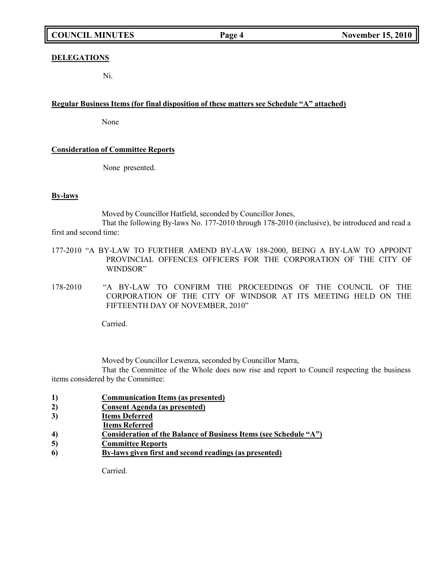# **COUNCIL MINUTES Page 4 November 15, 2010**

## **DELEGATIONS**

Ni.

### **Regular Business Items (for final disposition of these matters see Schedule "A" attached)**

None

### **Consideration of Committee Reports**

None presented.

### **By-laws**

Moved by Councillor Hatfield, seconded by Councillor Jones,

That the following By-laws No. 177-2010 through 178-2010 (inclusive), be introduced and read a first and second time:

- 177-2010 "A BY-LAW TO FURTHER AMEND BY-LAW 188-2000, BEING A BY-LAW TO APPOINT PROVINCIAL OFFENCES OFFICERS FOR THE CORPORATION OF THE CITY OF WINDSOR"
- 178-2010 "A BY-LAW TO CONFIRM THE PROCEEDINGS OF THE COUNCIL OF THE CORPORATION OF THE CITY OF WINDSOR AT ITS MEETING HELD ON THE FIFTEENTH DAY OF NOVEMBER, 2010"

Carried.

Moved by Councillor Lewenza, seconded by Councillor Marra,

That the Committee of the Whole does now rise and report to Council respecting the business items considered by the Committee:

- **1) Communication Items (as presented)**
- **2) Consent Agenda (as presented)**
- **3) Items Deferred**
- **Items Referred**
- **4) Consideration of the Balance of Business Items (see Schedule "A")**
- **5) Committee Reports**
- **6) By-laws given first and second readings (as presented)**

Carried.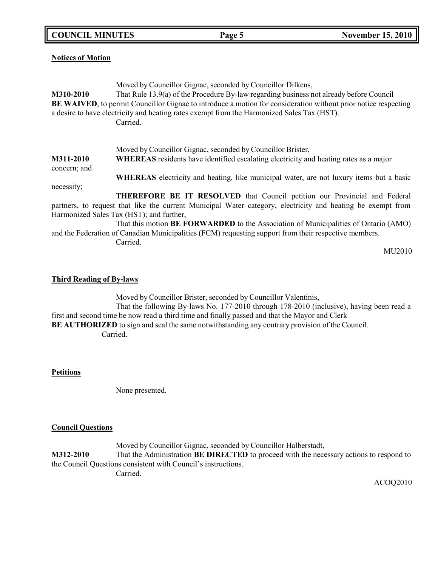**COUNCIL MINUTES Page 5 November 15, 2010**

**Notices of Motion**

Moved by Councillor Gignac, seconded by Councillor Dilkens, **M310-2010** That Rule 13.9(a) of the Procedure By-law regarding business not already before Council **BE WAIVED**, to permit Councillor Gignac to introduce a motion for consideration without prior notice respecting a desire to have electricity and heating rates exempt from the Harmonized Sales Tax (HST). Carried. Moved by Councillor Gignac, seconded by Councillor Brister, **M311-2010 WHEREAS** residents have identified escalating electricity and heating rates as a major concern; and necessity; **WHEREAS** electricity and heating, like municipal water, are not luxury items but a basic **THEREFORE BE IT RESOLVED** that Council petition our Provincial and Federal

partners, to request that like the current Municipal Water category, electricity and heating be exempt from Harmonized Sales Tax (HST); and further, That this motion **BE FORWARDED** to the Association of Municipalities of Ontario (AMO)

and the Federation of Canadian Municipalities (FCM) requesting support from their respective members. Carried.

MU2010

## **Third Reading of By-laws**

Moved by Councillor Brister, seconded by Councillor Valentinis, That the following By-laws No. 177-2010 through 178-2010 (inclusive), having been read a first and second time be now read a third time and finally passed and that the Mayor and Clerk **BE AUTHORIZED** to sign and seal the same notwithstanding any contrary provision of the Council. Carried.

**Petitions**

None presented.

## **Council Questions**

Moved by Councillor Gignac, seconded by Councillor Halberstadt, **M312-2010** That the Administration **BE DIRECTED** to proceed with the necessary actions to respond to the Council Questions consistent with Council's instructions.

Carried.

ACOQ2010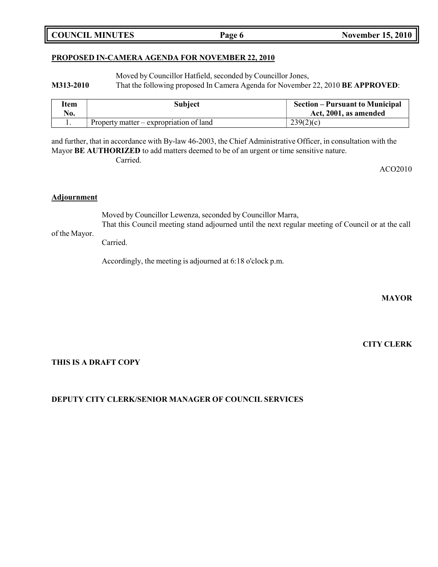## **PROPOSED IN-CAMERA AGENDA FOR NOVEMBER 22, 2010**

Moved by Councillor Hatfield, seconded by Councillor Jones,

**M313-2010** That the following proposed In Camera Agenda for November 22, 2010 **BE APPROVED**:

| Item | Subject                                           | <b>Section – Pursuant to Municipal</b> |
|------|---------------------------------------------------|----------------------------------------|
| No.  |                                                   | Act, 2001, as amended                  |
|      | Property matter $-\epsilon$ expropriation of land | 239(2)(c)                              |

and further, that in accordance with By-law 46-2003, the Chief Administrative Officer, in consultation with the Mayor **BE AUTHORIZED** to add matters deemed to be of an urgent or time sensitive nature. Carried.

ACO2010

## **Adjournment**

Moved by Councillor Lewenza, seconded by Councillor Marra,

of the Mayor. That this Council meeting stand adjourned until the next regular meeting of Council or at the call

Carried.

Accordingly, the meeting is adjourned at 6:18 o'clock p.m.

**MAYOR**

**CITY CLERK**

## **THIS IS A DRAFT COPY**

**DEPUTY CITY CLERK/SENIOR MANAGER OF COUNCIL SERVICES**

## **COUNCIL MINUTES Page 6 November 15, 2010**